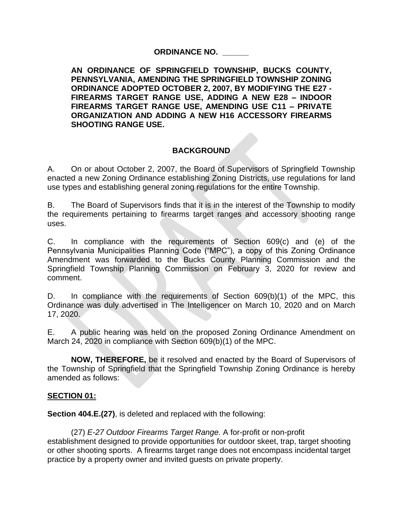## **ORDINANCE NO. \_\_\_\_\_\_**

**AN ORDINANCE OF SPRINGFIELD TOWNSHIP, BUCKS COUNTY, PENNSYLVANIA, AMENDING THE SPRINGFIELD TOWNSHIP ZONING ORDINANCE ADOPTED OCTOBER 2, 2007, BY MODIFYING THE E27 - FIREARMS TARGET RANGE USE, ADDING A NEW E28 – INDOOR FIREARMS TARGET RANGE USE, AMENDING USE C11 – PRIVATE ORGANIZATION AND ADDING A NEW H16 ACCESSORY FIREARMS SHOOTING RANGE USE.**

# **BACKGROUND**

A. On or about October 2, 2007, the Board of Supervisors of Springfield Township enacted a new Zoning Ordinance establishing Zoning Districts, use regulations for land use types and establishing general zoning regulations for the entire Township.

B. The Board of Supervisors finds that it is in the interest of the Township to modify the requirements pertaining to firearms target ranges and accessory shooting range uses.

C. In compliance with the requirements of Section 609(c) and (e) of the Pennsylvania Municipalities Planning Code ("MPC"), a copy of this Zoning Ordinance Amendment was forwarded to the Bucks County Planning Commission and the Springfield Township Planning Commission on February 3, 2020 for review and comment.

D. In compliance with the requirements of Section 609(b)(1) of the MPC, this Ordinance was duly advertised in The Intelligencer on March 10, 2020 and on March 17, 2020.

E. A public hearing was held on the proposed Zoning Ordinance Amendment on March 24, 2020 in compliance with Section 609(b)(1) of the MPC.

**NOW, THEREFORE,** be it resolved and enacted by the Board of Supervisors of the Township of Springfield that the Springfield Township Zoning Ordinance is hereby amended as follows:

## **SECTION 01:**

**Section 404.E.(27)**, is deleted and replaced with the following:

(27) *E-27 Outdoor Firearms Target Range.* A for-profit or non-profit establishment designed to provide opportunities for outdoor skeet, trap, target shooting or other shooting sports. A firearms target range does not encompass incidental target practice by a property owner and invited guests on private property.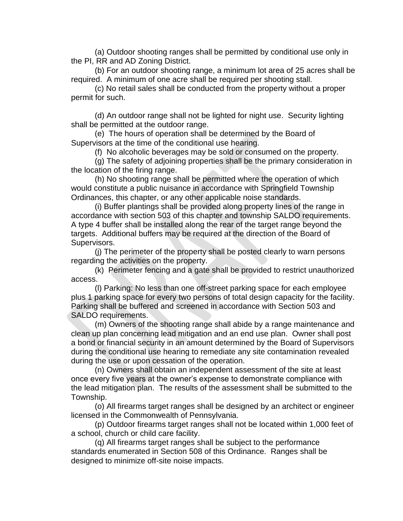(a) Outdoor shooting ranges shall be permitted by conditional use only in the PI, RR and AD Zoning District.

(b) For an outdoor shooting range, a minimum lot area of 25 acres shall be required. A minimum of one acre shall be required per shooting stall.

(c) No retail sales shall be conducted from the property without a proper permit for such.

(d) An outdoor range shall not be lighted for night use. Security lighting shall be permitted at the outdoor range.

(e) The hours of operation shall be determined by the Board of Supervisors at the time of the conditional use hearing.

(f) No alcoholic beverages may be sold or consumed on the property.

(g) The safety of adjoining properties shall be the primary consideration in the location of the firing range.

(h) No shooting range shall be permitted where the operation of which would constitute a public nuisance in accordance with Springfield Township Ordinances, this chapter, or any other applicable noise standards.

(i) Buffer plantings shall be provided along property lines of the range in accordance with section 503 of this chapter and township SALDO requirements. A type 4 buffer shall be installed along the rear of the target range beyond the targets. Additional buffers may be required at the direction of the Board of Supervisors.

(j) The perimeter of the property shall be posted clearly to warn persons regarding the activities on the property.

(k) Perimeter fencing and a gate shall be provided to restrict unauthorized access.

(l) Parking: No less than one off-street parking space for each employee plus 1 parking space for every two persons of total design capacity for the facility. Parking shall be buffered and screened in accordance with Section 503 and SALDO requirements.

(m) Owners of the shooting range shall abide by a range maintenance and clean up plan concerning lead mitigation and an end use plan. Owner shall post a bond or financial security in an amount determined by the Board of Supervisors during the conditional use hearing to remediate any site contamination revealed during the use or upon cessation of the operation.

(n) Owners shall obtain an independent assessment of the site at least once every five years at the owner's expense to demonstrate compliance with the lead mitigation plan. The results of the assessment shall be submitted to the Township.

(o) All firearms target ranges shall be designed by an architect or engineer licensed in the Commonwealth of Pennsylvania.

(p) Outdoor firearms target ranges shall not be located within 1,000 feet of a school, church or child care facility.

(q) All firearms target ranges shall be subject to the performance standards enumerated in Section 508 of this Ordinance. Ranges shall be designed to minimize off-site noise impacts.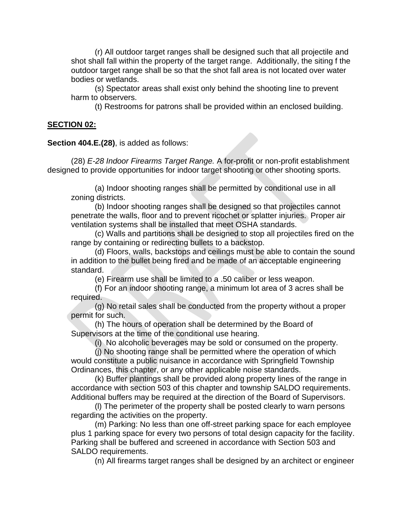(r) All outdoor target ranges shall be designed such that all projectile and shot shall fall within the property of the target range. Additionally, the siting f the outdoor target range shall be so that the shot fall area is not located over water bodies or wetlands.

(s) Spectator areas shall exist only behind the shooting line to prevent harm to observers.

(t) Restrooms for patrons shall be provided within an enclosed building.

#### **SECTION 02:**

**Section 404.E.(28)**, is added as follows:

(28) *E-28 Indoor Firearms Target Range.* A for-profit or non-profit establishment designed to provide opportunities for indoor target shooting or other shooting sports.

(a) Indoor shooting ranges shall be permitted by conditional use in all zoning districts.

(b) Indoor shooting ranges shall be designed so that projectiles cannot penetrate the walls, floor and to prevent ricochet or splatter injuries. Proper air ventilation systems shall be installed that meet OSHA standards.

(c) Walls and partitions shall be designed to stop all projectiles fired on the range by containing or redirecting bullets to a backstop.

(d) Floors, walls, backstops and ceilings must be able to contain the sound in addition to the bullet being fired and be made of an acceptable engineering standard.

(e) Firearm use shall be limited to a .50 caliber or less weapon.

(f) For an indoor shooting range, a minimum lot area of 3 acres shall be required.

(g) No retail sales shall be conducted from the property without a proper permit for such.

(h) The hours of operation shall be determined by the Board of Supervisors at the time of the conditional use hearing.

(i) No alcoholic beverages may be sold or consumed on the property.

(j) No shooting range shall be permitted where the operation of which would constitute a public nuisance in accordance with Springfield Township Ordinances, this chapter, or any other applicable noise standards.

(k) Buffer plantings shall be provided along property lines of the range in accordance with section 503 of this chapter and township SALDO requirements. Additional buffers may be required at the direction of the Board of Supervisors.

(l) The perimeter of the property shall be posted clearly to warn persons regarding the activities on the property.

(m) Parking: No less than one off-street parking space for each employee plus 1 parking space for every two persons of total design capacity for the facility. Parking shall be buffered and screened in accordance with Section 503 and SALDO requirements.

(n) All firearms target ranges shall be designed by an architect or engineer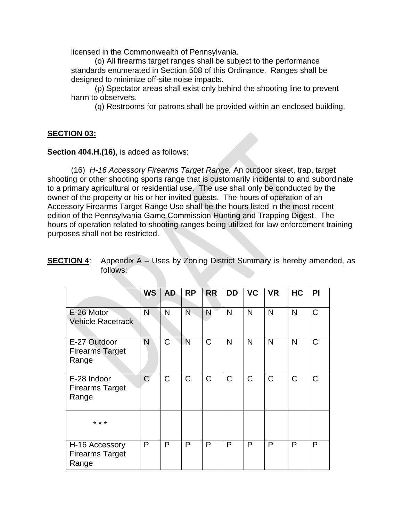licensed in the Commonwealth of Pennsylvania.

(o) All firearms target ranges shall be subject to the performance standards enumerated in Section 508 of this Ordinance. Ranges shall be designed to minimize off-site noise impacts.

(p) Spectator areas shall exist only behind the shooting line to prevent harm to observers.

(q) Restrooms for patrons shall be provided within an enclosed building.

## **SECTION 03:**

**Section 404.H.(16)**, is added as follows:

(16) *H-16 Accessory Firearms Target Range.* An outdoor skeet, trap, target shooting or other shooting sports range that is customarily incidental to and subordinate to a primary agricultural or residential use. The use shall only be conducted by the owner of the property or his or her invited guests. The hours of operation of an Accessory Firearms Target Range Use shall be the hours listed in the most recent edition of the Pennsylvania Game Commission Hunting and Trapping Digest. The hours of operation related to shooting ranges being utilized for law enforcement training purposes shall not be restricted.

|                                                   | <b>WS</b>      | <b>AD</b>   | <b>RP</b>    | <b>RR</b>    | <b>DD</b>    | <b>VC</b>    | <b>VR</b>    | <b>HC</b>   | PI |
|---------------------------------------------------|----------------|-------------|--------------|--------------|--------------|--------------|--------------|-------------|----|
|                                                   |                |             |              |              |              |              |              |             |    |
| E-26 Motor<br><b>Vehicle Racetrack</b>            | N              | N           | N            | N            | N            | $\mathsf{N}$ | $\mathsf{N}$ | N           | C  |
| E-27 Outdoor<br><b>Firearms Target</b><br>Range   | N              | C           | Ń            | $\mathsf{C}$ | N            | N            | N            | N           | C  |
| E-28 Indoor<br><b>Firearms Target</b><br>Range    | $\overline{C}$ | $\mathsf C$ | $\mathsf{C}$ | $\mathsf{C}$ | $\mathsf{C}$ | C            | $\mathsf C$  | $\mathsf C$ | C  |
| * * *                                             |                |             |              |              |              |              |              |             |    |
| H-16 Accessory<br><b>Firearms Target</b><br>Range | P              | P           | P            | P            | P            | P            | P            | P           | P  |

## **SECTION 4:** Appendix A – Uses by Zoning District Summary is hereby amended, as follows: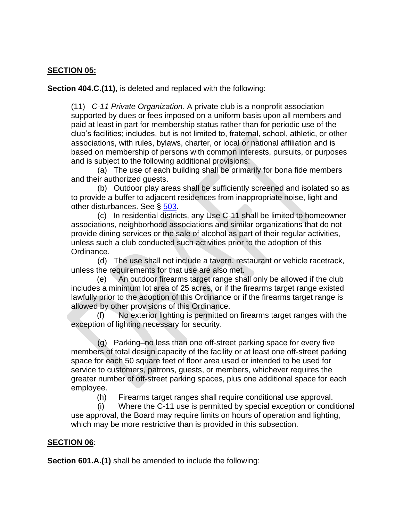## **SECTION 05:**

**Section 404.C.(11)**, is deleted and replaced with the following:

(11) *C-11 Private Organization*. A private club is a nonprofit association supported by dues or fees imposed on a uniform basis upon all members and paid at least in part for membership status rather than for periodic use of the club's facilities; includes, but is not limited to, fraternal, school, athletic, or other associations, with rules, bylaws, charter, or local or national affiliation and is based on membership of persons with common interests, pursuits, or purposes and is subject to the following additional provisions:

 (a) The use of each building shall be primarily for bona fide members and their authorized guests.

 (b) Outdoor play areas shall be sufficiently screened and isolated so as to provide a buffer to adjacent residences from inappropriate noise, light and other disturbances. See § [503.](http://library.amlegal.com/nxt/gateway.dll?f=jumplink$jumplink_x=Advanced$jumplink_vpc=first$jumplink_xsl=querylink.xsl$jumplink_sel=title;path;content-type;home-title;item-bookmark$jumplink_d=pennsylvania(springfieldtwp_pa)$jumplink_q=%5bfield%20folio-destination-name:)

 (c) In residential districts, any Use C-11 shall be limited to homeowner associations, neighborhood associations and similar organizations that do not provide dining services or the sale of alcohol as part of their regular activities, unless such a club conducted such activities prior to the adoption of this Ordinance.

 (d) The use shall not include a tavern, restaurant or vehicle racetrack, unless the requirements for that use are also met.

(e) An outdoor firearms target range shall only be allowed if the club includes a minimum lot area of 25 acres, or if the firearms target range existed lawfully prior to the adoption of this Ordinance or if the firearms target range is allowed by other provisions of this Ordinance.

No exterior lighting is permitted on firearms target ranges with the exception of lighting necessary for security.

 (g) Parking–no less than one off-street parking space for every five members of total design capacity of the facility or at least one off-street parking space for each 50 square feet of floor area used or intended to be used for service to customers, patrons, guests, or members, whichever requires the greater number of off-street parking spaces, plus one additional space for each employee.

(h) Firearms target ranges shall require conditional use approval.

 (i) Where the C-11 use is permitted by special exception or conditional use approval, the Board may require limits on hours of operation and lighting, which may be more restrictive than is provided in this subsection.

## **SECTION 06**:

**Section 601.A.(1)** shall be amended to include the following: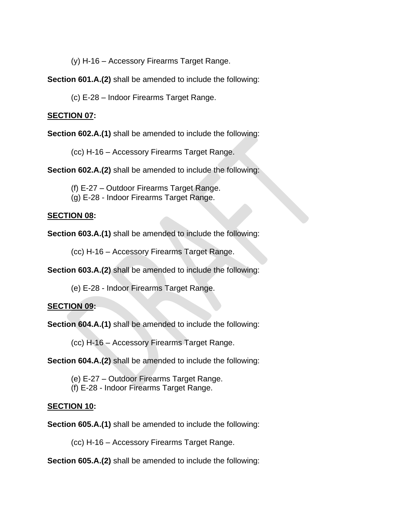(y) H-16 – Accessory Firearms Target Range.

**Section 601.A.(2)** shall be amended to include the following:

(c) E-28 – Indoor Firearms Target Range.

### **SECTION 07:**

**Section 602.A.(1)** shall be amended to include the following:

(cc) H-16 – Accessory Firearms Target Range.

**Section 602.A.(2)** shall be amended to include the following:

(f) E-27 – Outdoor Firearms Target Range.

(g) E-28 - Indoor Firearms Target Range.

#### **SECTION 08:**

**Section 603.A.(1)** shall be amended to include the following:

(cc) H-16 – Accessory Firearms Target Range.

**Section 603.A.(2)** shall be amended to include the following:

(e) E-28 - Indoor Firearms Target Range.

## **SECTION 09:**

**Section 604.A.(1)** shall be amended to include the following:

(cc) H-16 – Accessory Firearms Target Range.

**Section 604.A.(2)** shall be amended to include the following:

(e) E-27 – Outdoor Firearms Target Range. (f) E-28 - Indoor Firearms Target Range.

## **SECTION 10:**

**Section 605.A.(1)** shall be amended to include the following:

(cc) H-16 – Accessory Firearms Target Range.

**Section 605.A.(2)** shall be amended to include the following: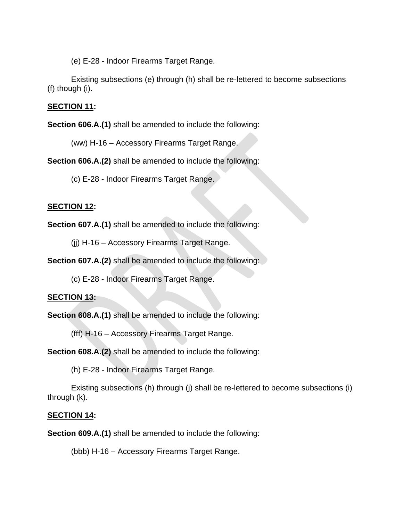(e) E-28 - Indoor Firearms Target Range.

Existing subsections (e) through (h) shall be re-lettered to become subsections (f) though (i).

## **SECTION 11:**

**Section 606.A.(1)** shall be amended to include the following:

(ww) H-16 – Accessory Firearms Target Range.

**Section 606.A.(2)** shall be amended to include the following:

(c) E-28 - Indoor Firearms Target Range.

## **SECTION 12:**

**Section 607.A.(1)** shall be amended to include the following:

(jj) H-16 – Accessory Firearms Target Range.

**Section 607.A.(2)** shall be amended to include the following:

(c) E-28 - Indoor Firearms Target Range.

## **SECTION 13:**

**Section 608.A.(1)** shall be amended to include the following:

(fff) H-16 – Accessory Firearms Target Range.

**Section 608.A.(2)** shall be amended to include the following:

(h) E-28 - Indoor Firearms Target Range.

Existing subsections (h) through (j) shall be re-lettered to become subsections (i) through (k).

# **SECTION 14:**

**Section 609.A.(1)** shall be amended to include the following:

(bbb) H-16 – Accessory Firearms Target Range.